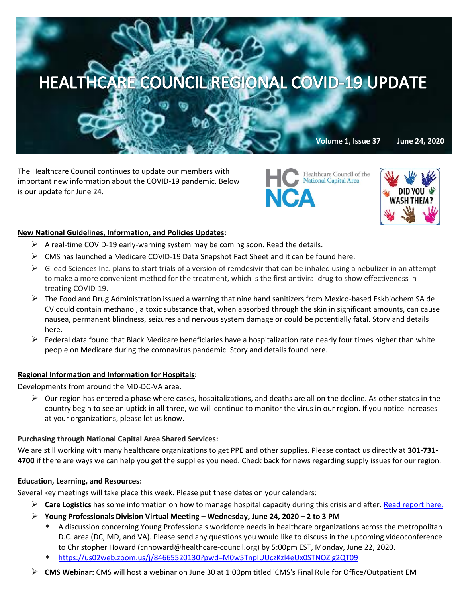# HEALTHCARE COUNCIL REGIONAL COVID-19 UPDATE

The Healthcare Council continues to update our members with important new information about the COVID-19 pandemic. Below is our update for June 24.

Healthcare Council of<br>National Capital Area Healthcare Council of the **NCA** 



**Volume 1, Issue 37 June 24, 2020**

## **New National Guidelines, Information, and Policies Updates:**

- $\triangleright$  A real-time COVID-19 early-warning system may be coming soon. [Read the details.](https://hbr.org/2020/06/building-a-real-time-covid-19-early-warning-system)
- $\triangleright$  CMS has launched a Medicare COVID-19 Data Snapshot Fact Sheet and it can [be found here.](https://www.cms.gov/files/document/medicare-covid-19-data-snapshot-fact-sheet.pdf)
- $\triangleright$  Gilead Sciences Inc. plans to start trials of a version of remdesivir that can be inhaled using a nebulizer in an attempt to make a more convenient method for the treatment, which is the first antiviral drug to show effectiveness in treating COVID-19.
- $\triangleright$  The Food and Drug Administration issued a warning that nine hand sanitizers from Mexico-based Eskbiochem SA de CV could contain methanol, a toxic substance that, when absorbed through the skin in significant amounts, can cause nausea, permanent blindness, seizures and nervous system damage or could be potentially fatal[. Story and details](https://thehill.com/policy/healthcare/503980-fda-warns-against-9-hand-sanitizers-after-dangerous-chemical-discovered?mkt_tok=eyJpIjoiT1RReFlUbG1PREU0TWpVNCIsInQiOiIzUUZqMVV5VWFabzhSZHBOM2xrXC8yaXB6Q2haN0o2MDJvXC9aNzc0M1dKNHdWU3NCaFRqM3lOXC9HTndGdEtkdm1jMEFqdzZuXC9Vc3hETkZcLzYrS1ZQTEZLZVB1WURTXC9iSXJxY00wOENZWllxWGxmUXd6ZWh3TktlaW1Sd3NaVkNoViJ9)  [here.](https://thehill.com/policy/healthcare/503980-fda-warns-against-9-hand-sanitizers-after-dangerous-chemical-discovered?mkt_tok=eyJpIjoiT1RReFlUbG1PREU0TWpVNCIsInQiOiIzUUZqMVV5VWFabzhSZHBOM2xrXC8yaXB6Q2haN0o2MDJvXC9aNzc0M1dKNHdWU3NCaFRqM3lOXC9HTndGdEtkdm1jMEFqdzZuXC9Vc3hETkZcLzYrS1ZQTEZLZVB1WURTXC9iSXJxY00wOENZWllxWGxmUXd6ZWh3TktlaW1Sd3NaVkNoViJ9)
- $\triangleright$  Federal data found that Black Medicare beneficiaries have a hospitalization rate nearly four times higher than white people on Medicare during the coronavirus pandemic. [Story and details found here.](https://www.npr.org/sections/health-shots/2020/06/22/881886733/black-medicare-patients-with-covid-19-nearly-4-times-as-likely-to-end-up-in-hosp?mkt_tok=eyJpIjoiT1RReFlUbG1PREU0TWpVNCIsInQiOiIzUUZqMVV5VWFabzhSZHBOM2xrXC8yaXB6Q2haN0o2MDJvXC9aNzc0M1dKNHdWU3NCaFRqM3lOXC9HTndGdEtkdm1jMEFqdzZuXC9Vc3hETkZcLzYrS1ZQTEZLZVB1WURTXC9iSXJxY00wOENZWllxWGxmUXd6ZWh3TktlaW1Sd3NaVkNoViJ9)

#### **Regional Information and Information for Hospitals:**

Developments from around the MD-DC-VA area.

 $\triangleright$  Our region has entered a phase where cases, hospitalizations, and deaths are all on the decline. As other states in the country begin to see an uptick in all three, we will continue to monitor the virus in our region. If you notice increases at your organizations, please let us know.

#### **Purchasing through National Capital Area Shared Services:**

We are still working with many healthcare organizations to get PPE and other supplies. Please contact us directly at **301-731- 4700** if there are ways we can help you get the supplies you need. Check back for news regarding supply issues for our region.

#### **Education, Learning, and Resources:**

Several key meetings will take place this week. Please put these dates on your calendars:

- **Care Logistics** has some information on how to manage hospital capacity during this crisis and after. [Read report here.](https://www.carelogistics.com/core-command?utm_campaign=Channel%20Partner%20Content&utm_medium=email&_hsenc=p2ANqtz-_qpYMFyfK4fmCJI3DUZvrVT9trxxIJxKv6jENKP6g__YuPihOv0YGzHlM2qZyqkr92xjGxCMQfibwU_kNQpeyYNGnlDa4YAT-29rwbG2trEe7kV0g&_hsmi=89767229&utm_content=89423044&utm_source=hs_email&hsCtaTracking=0fdbab14-f503-447e-b28e-840e56976794|aa24233f-85dd-436c-aa8a-017133c4b135)
- **Young Professionals Division Virtual Meeting – Wednesday, June 24, 2020 – 2 to 3 PM**
	- A discussion concerning Young Professionals workforce needs in healthcare organizations across the metropolitan D.C. area (DC, MD, and VA). Please send any questions you would like to discuss in the upcoming videoconference to Christopher Howard (cnhoward@healthcare-council.org) by 5:00pm EST, Monday, June 22, 2020.
	- <https://us02web.zoom.us/j/84665520130?pwd=M0w5TnpIUUczKzl4eUx0STNOZlg2QT09>
- **CMS Webinar:** CMS will host a webinar on June 30 at 1:00pm titled 'CMS's Final Rule for Office/Outpatient EM